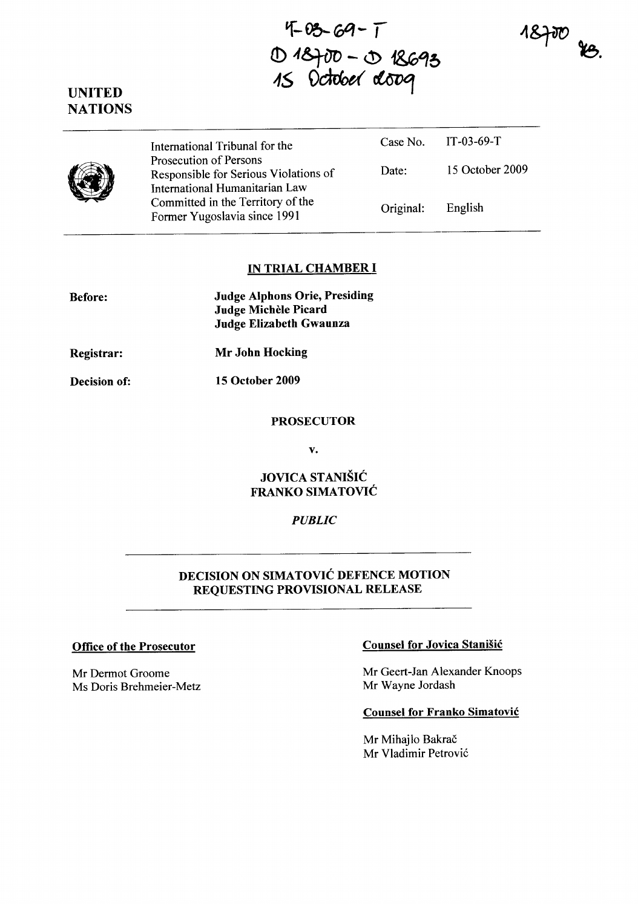$4-03-69-1$ **£!) 4&}iJo - <.!> 1&G'i5**  15 October oloog

 $18700$  is.





## **IN TRIAL CHAMBER I**

| <b>Before:</b> | <b>Judge Alphons Orie, Presiding</b><br>Judge Michèle Picard<br><b>Judge Elizabeth Gwaunza</b> |
|----------------|------------------------------------------------------------------------------------------------|
| Registrar:     | Mr John Hocking                                                                                |
| Decision of:   | <b>15 October 2009</b>                                                                         |

#### **PROSECUTOR**

v.

**JOVICA STANISIC FRANKO SIMATOVIC** 

#### *PUBLIC*

# **DECISION ON SIMATOVIC DEFENCE MOTION REQUESTING PROVISIONAL RELEASE**

Mr Dermot Groome Ms Doris Brehmeier-Metz

## **Office of the Prosecutor Counsel for Jovica Stanisic Counsel for Jovica Stanisic**

Mr Geert-Jan Alexander Knoops Mr Wayne Jordash

## **Counsel for Franko Simatovic**

Mr Mihajlo Bakrač Mr Vladimir Petrovic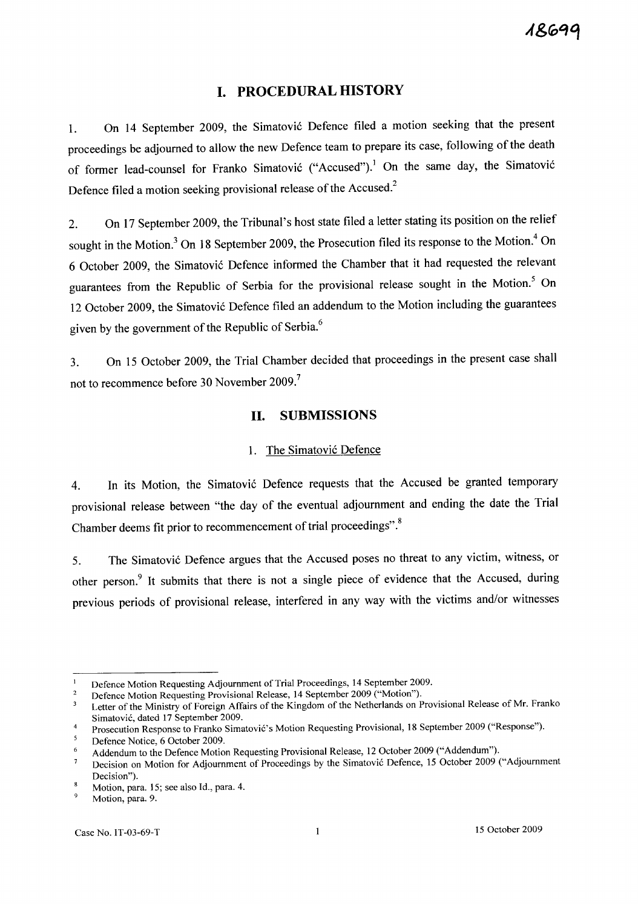# **I. PROCEDURAL HISTORY**

1. On 14 September 2009, the Simatović Defence filed a motion seeking that the present proceedings be adjourned to allow the new Defence team to prepare its case, following of the death of former lead-counsel for Franko Simatović ("Accused").<sup>1</sup> On the same day, the Simatović Defence filed a motion seeking provisional release of the Accused?

2. On 17 September 2009, the Tribunal's host state filed a letter stating its position on the relief sought in the Motion.<sup>3</sup> On 18 September 2009, the Prosecution filed its response to the Motion.<sup>4</sup> On 6 October 2009, the Simatovi6 Defence informed the Chamber that it had requested the relevant guarantees from the Republic of Serbia for the provisional release sought in the Motion.<sup>5</sup> On 12 October 2009, the Simatović Defence filed an addendum to the Motion including the guarantees given by the government of the Republic of Serbia.<sup>6</sup>

3. On 15 October 2009, the Trial Chamber decided that proceedings in the present case shall not to recommence before 30 November 2009.<sup>7</sup>

## **II. SUBMISSIONS**

### 1. The Simatović Defence

4. In its Motion, the Simatović Defence requests that the Accused be granted temporary provisional release between "the day of the eventual adjournment and ending the date the Trial Chamber deems fit prior to recommencement of trial proceedings".<sup>8</sup>

5. The Simatović Defence argues that the Accused poses no threat to any victim, witness, or other person.<sup>9</sup> It submits that there is not a single piece of evidence that the Accused, during previous periods of provisional release, interfered in any way with the victims and/or witnesses

Defence Motion Requesting Adjournment of Trial Proceedings, 14 September 2009.  $\mathbf{1}$ 

Defence Motion Requesting Provisional Release, 14 September 2009 ("Motion").  $\overline{a}$ 

Letter of the Ministry of Foreign Affairs of the Kingdom of the Netherlands on Provisional Release of Mr. Franko  $\overline{\mathbf{3}}$ Simatovic, dated 17 September 2009.

Prosecution Response to Franko Simatović's Motion Requesting Provisional, 18 September 2009 ("Response").

Defence Notice, 6 October 2009.

Addendum to the Defence Motion Requesting Provisional Release, 12 October 2009 ("Addendum").

Decision on Motion for Adjournment of Proceedings by the Simatović Defence, 15 October 2009 ("Adjournment  $\overline{7}$ Decision").

Motion, para. 15; see also Id., para. 4.

Motion, para. 9.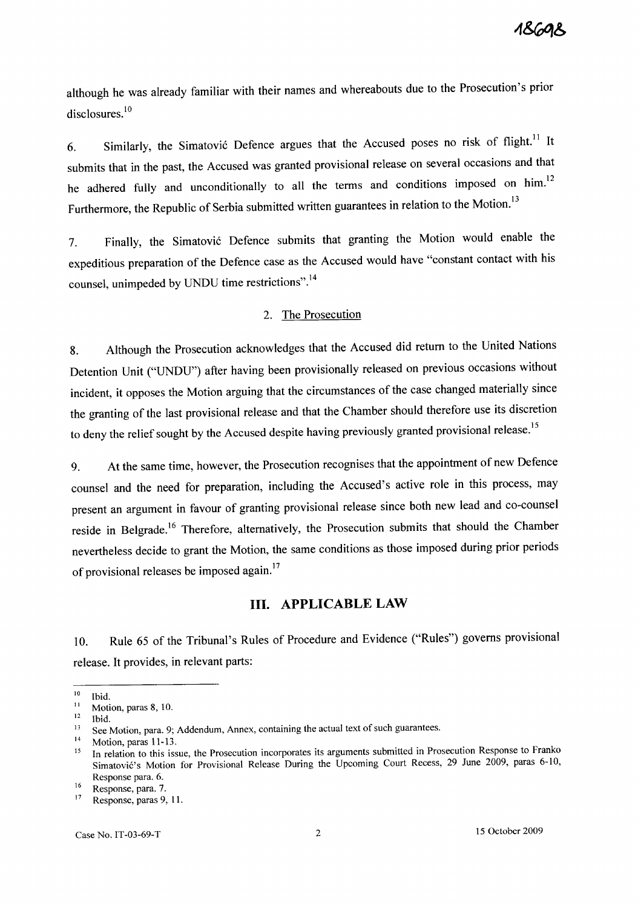although he was already familiar with their names and whereabouts due to the Prosecution's prior disclosures.<sup>10</sup>

6. Similarly, the Simatović Defence argues that the Accused poses no risk of flight.<sup>11</sup> It submits that in the past, the Accused was granted provisional release on several occasions and that he adhered fully and unconditionally to all the terms and conditions imposed on him.<sup>12</sup> Furthermore, the Republic of Serbia submitted written guarantees in relation to the Motion.<sup>13</sup>

7. Finally, the Simatović Defence submits that granting the Motion would enable the expeditious preparation of the Defence case as the Accused would have "constant contact with his counsel, unimpeded by UNDU time restrictions".<sup>14</sup>

## 2. The Prosecution

8. Although the Prosecution acknowledges that the Accused did return to the United Nations Detention Unit ("UNDU") after having been provisionally released on previous occasions without incident, it opposes the Motion arguing that the circumstances of the case changed materially since the granting of the last provisional release and that the Chamber should therefore use its discretion to deny the relief sought by the Accused despite having previously granted provisional release.<sup>15</sup>

9. At the same time, however, the Prosecution recognises that the appointment of new Defence counsel and the need for preparation, including the Accused's active role in this process, may present an argument in favour of granting provisional release since both new lead and co-counsel reside in Belgrade.<sup>16</sup> Therefore, alternatively, the Prosecution submits that should the Chamber nevertheless decide to grant the Motion, the same conditions as those imposed during prior periods of provisional releases be imposed again.<sup>17</sup>

## **III. APPLICABLE LAW**

10. Rule 65 of the Tribunal's Rules of Procedure and Evidence ("Rules") governs provisional release. It provides, in relevant parts:

 $10$  Ibid.

 $11$  Motion, paras 8, 10.

 $12$  Ibid.

<sup>&</sup>lt;sup>13</sup> See Motion, para. 9; Addendum, Annex, containing the actual text of such guarantees.

 $14$  Motion, paras 11-13.

<sup>&</sup>lt;sup>15</sup> In relation to this issue, the Prosecution incorporates its arguments submitted in Prosecution Response to Franko Simatović's Motion for Provisional Release During the Upcoming Court Recess, 29 June 2009, paras 6-10, Response para. 6.

<sup>16</sup> Response, para. 7.

<sup>&</sup>lt;sup>17</sup> Response, paras 9, 11.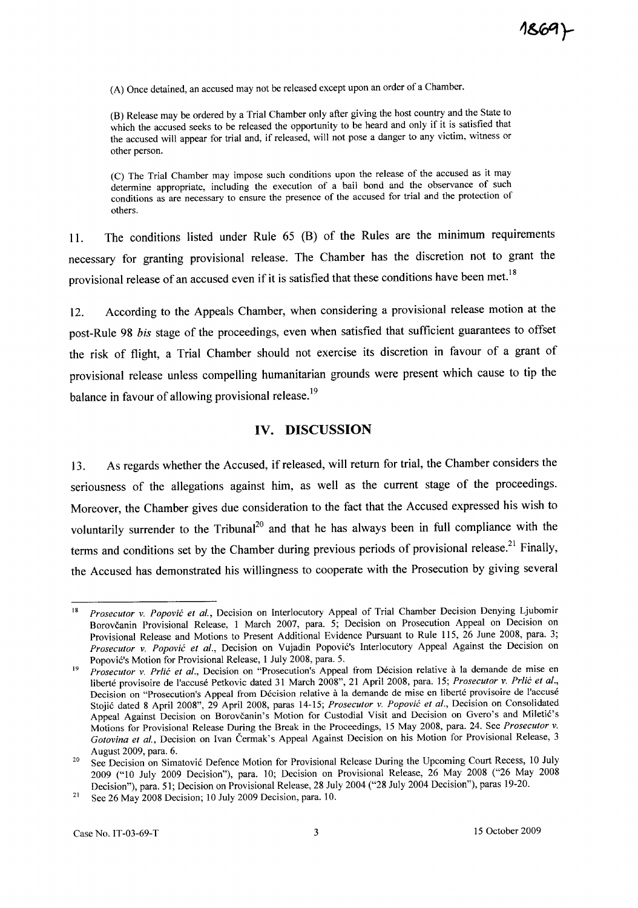(A) Once detained, an accused may not be released except upon an order of a Chamber.

(B) Release may be ordered by a Trial Chamber only after giving the host country and the State to which the accused seeks to be released the opportunity to be heard and only if it is satisfied that the accused will appear for trial and, if released, will not pose a danger to any victim, witness or other person.

(C) The Trial Chamber may impose such conditions upon the release of the accused as it may determine appropriate, including the execution of a bail bond and the observance of such conditions as are necessary to ensure the presence of the accused for trial and the protection of others.

II. The conditions listed under Rule 65 (B) of the Rules are the minimum requirements necessary for granting provisional release. The Chamber has the discretion not to grant the provisional release of an accused even if it is satisfied that these conditions have been met.<sup>18</sup>

12. According to the Appeals Chamber, when considering a provisional release motion at the post-Rule 98 *bis* stage of the proceedings, even when satisfied that sufficient guarantees to offset the risk of flight, a Trial Chamber should not exercise its discretion in favour of a grant of provisional release unless compelling humanitarian grounds were present which cause to tip the balance in favour of allowing provisional release.<sup>19</sup>

## **IV. DISCUSSION**

13. As regards whether the Accused, if released, will return for trial, the Chamber considers the seriousness of the allegations against him, as well as the current stage of the proceedings. Moreover, the Chamber gives due consideration to the fact that the Accused expressed his wish to voluntarily surrender to the Tribunal<sup>20</sup> and that he has always been in full compliance with the terms and conditions set by the Chamber during previous periods of provisional release.<sup>21</sup> Finally, the Accused has demonstrated his willingness to cooperate with the Prosecution by giving several

<sup>18</sup>  *Prosecutor* v. *Popovic et al.,* Decision on Interlocutory Appeal of Trial Chamber Decision Denying Ljubomir Borovčanin Provisional Release, 1 March 2007, para. 5; Decision on Prosecution Appeal on Decision on Provisional Release and Motions to Present Additional Evidence Pursuant to Rule 115, 26 June 2008, para. 3; *Prosecutor* v. *Popovic et al.,* Decision on Vujadin Popovic's Interlocutory Appeal Against the Decision on Popović's Motion for Provisional Release, 1 July 2008, para. 5.

<sup>19</sup>  *Prosecutor v. Prlić et al.*, Decision on "Prosecution's Appeal from Décision relative à la demande de mise en liberte provisoire de l'accuse Petkovic dated 31 March 2008", 21 April 2008, para. 15; *Prosecutor* v. *Prlic et al.,*  Decision on "Prosecution's Appeal from Décision relative à la demande de mise en liberté provisoire de l'accusé Stojic dated 8 April 2008", 29 April 2008, paras 14-15; *Prosecutor* v. *Popovic et al.,* Decision on Consolidated Appeal Against Decision on Borovčanin's Motion for Custodial Visit and Decision on Gvero's and Miletić's Motions for Provisional Release During the Break in the Proceedings, 15 May 2008, para. 24. See *Prosecutor* v. Gotovina et al., Decision on Ivan Čermak's Appeal Against Decision on his Motion for Provisional Release, 3 August 2009, para. 6.

<sup>20</sup>  See Decision on Simatovic Defence Motion for Provisional Release During the Upcoming Court Recess, 10 July 2009 ("10 July 2009 Decision"), para. 10; Decision on Provisional Release, 26 May 2008 ("26 May 2008 Decision"), para. 51; Decision on Provisional Release, 28 July 2004 ("28 July 2004 Decision"), paras 19-20.

<sup>21</sup>  See 26 May 2008 Decision; 10 July 2009 Decision, para. 10.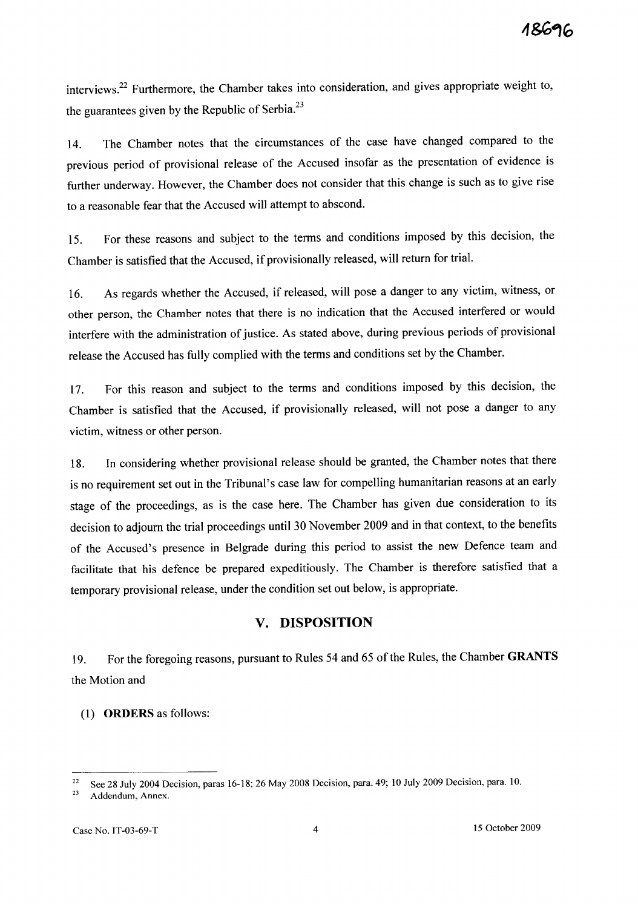interviews.<sup>22</sup> Furthermore, the Chamber takes into consideration, and gives appropriate weight to, the guarantees given by the Republic of Serbia.<sup>23</sup>

14. The Chamber notes that the circumstances of the case have changed compared to the previous period of provisional release of the Accused insofar as the presentation of evidence is further underway. However, the Chamber does not consider that this change is such as to give rise to a reasonable fear that the Accused will attempt to abscond.

15. For these reasons and subject to the terms and conditions imposed by this decision, the Chamber is satisfied that the Accused, if provisionally released, will return for trial.

16. As regards whether the Accused, if released, will pose a danger to any victim, witness, or other person, the Chamber notes that there is no indication that the Accused interfered or would interfere with the administration of justice. As stated above, during previous periods of provisional release the Accused has fully complied with the terms and conditions set by the Chamber.

17. For this reason and subject to the terms and conditions imposed by this decision, the Chamber is satisfied that the Accused, if provisionally released, will not pose a danger to any victim, witness or other person.

18. In considering whether provisional release should be granted, the Chamber notes that there is no requirement set out in the Tribunal's case law for compelling humanitarian reasons at an early stage of the proceedings, as is the case here. The Chamber has given due consideration to its decision to adjourn the trial proceedings until 30 November 2009 and in that context, to the benefits of the Accused's presence in Belgrade during this period to assist the new Defence team and facilitate that his defence be prepared expeditiously. The Chamber is therefore satisfied that a temporary provisional release, under the condition set out below, is appropriate.

# **v. DISPOSITION**

19. For the foregoing reasons, pursuant to Rules 54 and 65 of the Rules, the Chamber **GRANTS**  the Motion and

(1) **ORDERS** as follows:

<sup>&</sup>lt;sup>22</sup> See 28 July 2004 Decision, paras 16-18; 26 May 2008 Decision, para. 49; 10 July 2009 Decision, para. 10.

<sup>23</sup> Addendum, Annex.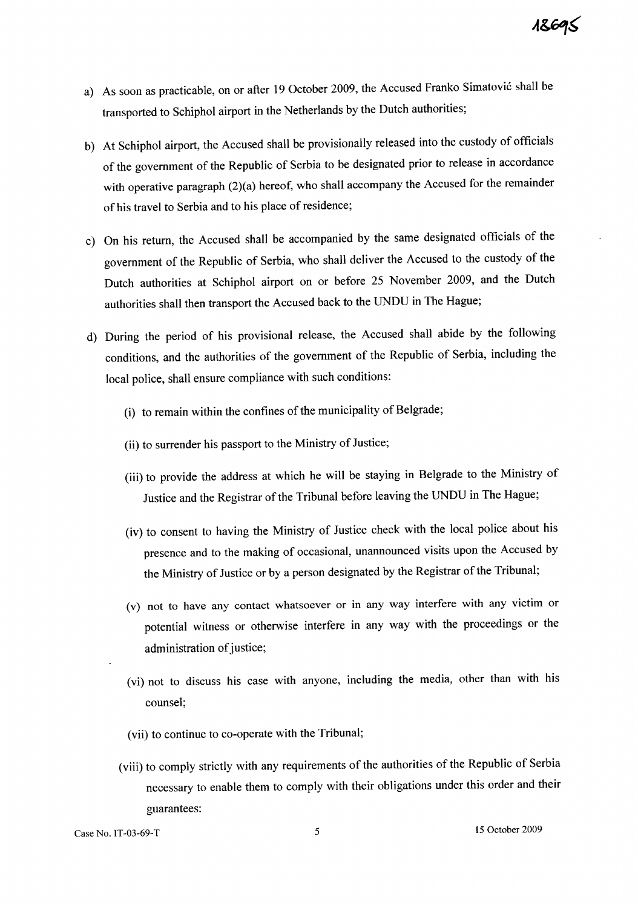- a) As soon as practicable, on or after 19 October 2009, the Accused Franko Simatović shall be transported to Schiphol airport in the Netherlands by the Dutch authorities;
- b) At Schiphol airport, the Accused shall be provisionally released into the custody of officials of the government of the Republic of Serbia to be designated prior to release in accordance with operative paragraph (2)(a) hereof, who shall accompany the Accused for the remainder of his travel to Serbia and to his place of residence;
- c) On his return, the Accused shall be accompanied by the same designated officials of the government of the Republic of Serbia, who shall deliver the Accused to the custody of the Dutch authorities at Schiphol airport on or before 25 November 2009, and the Dutch authorities shall then transport the Accused back to the UNDU in The Hague;
- d) During the period of his provisional release, the Accused shall abide by the following conditions, and the authorities of the government of the Republic of Serbia, including the local police, shall ensure compliance with such conditions:
	- (i) to remain within the confines of the municipality of Belgrade;
	- (ii) to surrender his passport to the Ministry of Justice;
	- (iii) to provide the address at which he will be staying in Belgrade to the Ministry of Justice and the Registrar of the Tribunal before leaving the UNDU in The Hague;
	- (iv) to consent to having the Ministry of Justice check with the local police about his presence and to the making of occasional, unannounced visits upon the Accused by the Ministry of Justice or by a person designated by the Registrar of the Tribunal;
	- (v) not to have any contact whatsoever or in any way interfere with any victim or potential witness or otherwise interfere in any way with the proceedings or the administration of justice;
	- (vi) not to discuss his case with anyone, including the media, other than with his counsel;
	- (vii) to continue to co-operate with the Tribunal;
	- (viii) to comply strictly with any requirements of the authorities of the Republic of Serbia necessary to enable them to comply with their obligations under this order and their guarantees: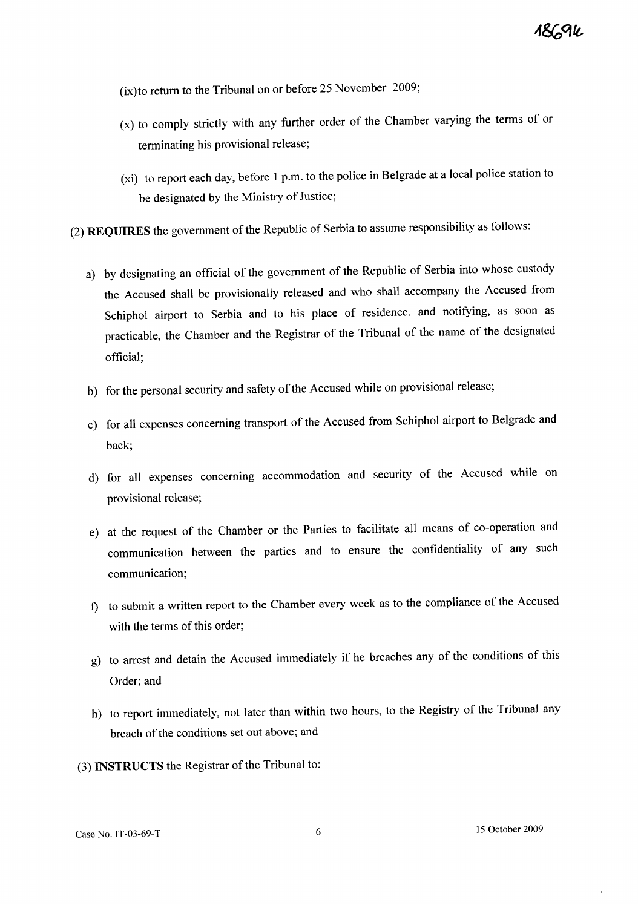(ix)to return to the Tribunal on or before 25 November 2009;

- (x) to comply strictly with any further order of the Chamber varying the terms of or terminating his provisional release;
- (xi) to report each day, before 1 p.m. to the police in Belgrade at a local police station to be designated by the Ministry of Justice;

(2) **REQUIRES** the government of the Republic of Serbia to assume responsibility as follows:

- a) by designating an official of the government of the Republic of Serbia into whose custody the Accused shall be provisionally released and who shall accompany the Accused from Schiphol airport to Serbia and to his place of residence, and notifying, as soon as practicable, the Chamber and the Registrar of the Tribunal of the name of the designated official;
- b) for the personal security and safety of the Accused while on provisional release;
- c) for all expenses concerning transport of the Accused from Schiphol airport to Belgrade and back;
- d) for all expenses concerning accommodation and security of the Accused while on provisional release;
- e) at the request of the Chamber or the Parties to facilitate all means of co-operation and communication between the parties and to ensure the confidentiality of any such communication;
- f) to submit a written report to the Chamber every week as to the compliance of the Accused with the terms of this order;
- g) to arrest and detain the Accused immediately if he breaches any of the conditions of this Order; and
- h) to report immediately, not later than within two hours, to the Registry of the Tribunal any breach of the conditions set out above; and
- (3) **INSTRUCTS** the Registrar of the Tribunal to: